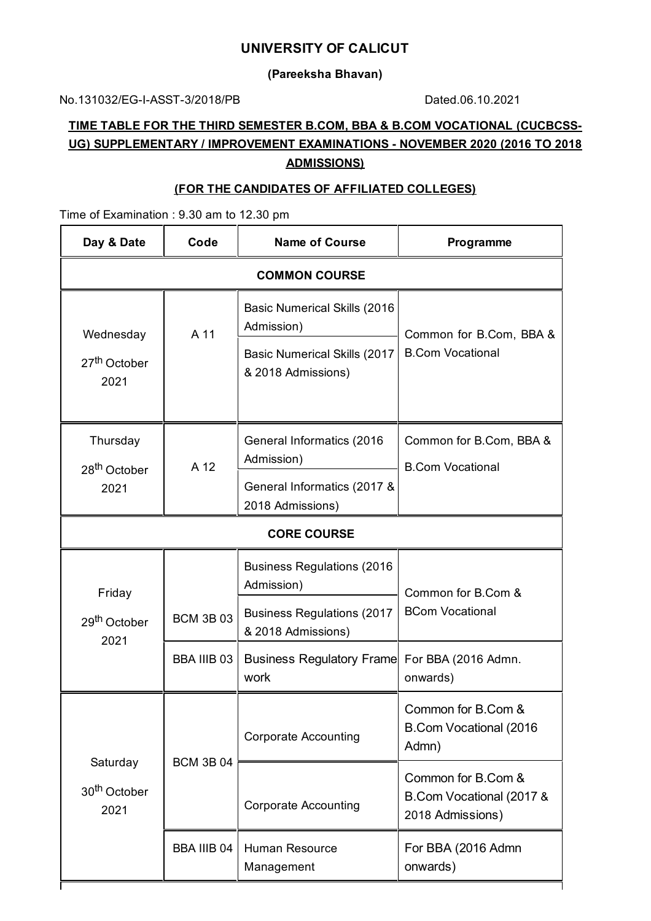## **UNIVERSITY OF CALICUT**

**(Pareeksha Bhavan)**

No.131032/EG-I-ASST-3/2018/PB Dated.06.10.2021

# **TIME TABLE FOR THE THIRD SEMESTER B.COM, BBA & B.COM VOCATIONAL (CUCBCSS-UG) SUPPLEMENTARY / IMPROVEMENT EXAMINATIONS - NOVEMBER 2020 (2016 TO 2018 ADMISSIONS)**

## **(FOR THE CANDIDATES OF AFFILIATED COLLEGES)**

Time of Examination : 9.30 am to 12.30 pm

| Day & Date                                    | Code             | <b>Name of Course</b>                                     | Programme                                                          |  |  |
|-----------------------------------------------|------------------|-----------------------------------------------------------|--------------------------------------------------------------------|--|--|
| <b>COMMON COURSE</b>                          |                  |                                                           |                                                                    |  |  |
| Wednesday<br>27 <sup>th</sup> October<br>2021 | A 11             | <b>Basic Numerical Skills (2016)</b><br>Admission)        | Common for B.Com, BBA &<br><b>B.Com Vocational</b>                 |  |  |
|                                               |                  | <b>Basic Numerical Skills (2017</b><br>& 2018 Admissions) |                                                                    |  |  |
| Thursday<br>28 <sup>th</sup> October          | A 12             | General Informatics (2016)<br>Admission)                  | Common for B.Com, BBA &<br><b>B.Com Vocational</b>                 |  |  |
| 2021                                          |                  | General Informatics (2017 &<br>2018 Admissions)           |                                                                    |  |  |
| <b>CORE COURSE</b>                            |                  |                                                           |                                                                    |  |  |
| Friday<br>29 <sup>th</sup> October<br>2021    |                  | <b>Business Regulations (2016)</b><br>Admission)          | Common for B.Com &                                                 |  |  |
|                                               | <b>BCM 3B 03</b> | <b>Business Regulations (2017</b><br>& 2018 Admissions)   | <b>BCom Vocational</b>                                             |  |  |
|                                               | BBA IIIB 03      | <b>Business Regulatory Frame</b><br>work                  | For BBA (2016 Admn.<br>onwards)                                    |  |  |
| Saturday<br>30 <sup>th</sup> October<br>2021  | <b>BCM 3B 04</b> | <b>Corporate Accounting</b>                               | Common for B.Com &<br>B.Com Vocational (2016<br>Admn)              |  |  |
|                                               |                  | <b>Corporate Accounting</b>                               | Common for B.Com &<br>B.Com Vocational (2017 &<br>2018 Admissions) |  |  |
|                                               | BBA IIIB 04      | <b>Human Resource</b><br>Management                       | For BBA (2016 Admn<br>onwards)                                     |  |  |